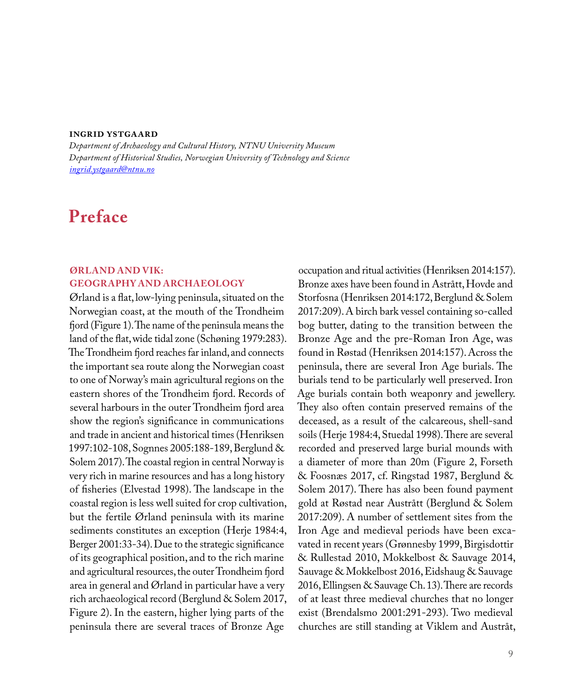#### **Ingrid Ystgaard**

*Department of Archaeology and Cultural History, NTNU University Museum Department of Historical Studies, Norwegian University of Technology and Science [ingrid.ystgaard@ntnu.no](mailto:ingrid.ystgaard%40ntnu.no?subject=)*

# **Preface**

## **ØRLAND AND VIK: GEOGRAPHY AND ARCHAEOLOGY**

Ørland is a flat, low-lying peninsula, situated on the Norwegian coast, at the mouth of the Trondheim fjord (Figure 1). The name of the peninsula means the land of the flat, wide tidal zone (Schøning 1979:283). The Trondheim fjord reaches far inland, and connects the important sea route along the Norwegian coast to one of Norway's main agricultural regions on the eastern shores of the Trondheim fjord. Records of several harbours in the outer Trondheim fjord area show the region's significance in communications and trade in ancient and historical times (Henriksen 1997:102-108, Sognnes 2005:188-189, Berglund & Solem 2017). The coastal region in central Norway is very rich in marine resources and has a long history of fisheries (Elvestad 1998). The landscape in the coastal region is less well suited for crop cultivation, but the fertile Ørland peninsula with its marine sediments constitutes an exception (Herje 1984:4, Berger 2001:33-34). Due to the strategic significance of its geographical position, and to the rich marine and agricultural resources, the outer Trondheim fjord area in general and Ørland in particular have a very rich archaeological record (Berglund & Solem 2017, Figure 2). In the eastern, higher lying parts of the peninsula there are several traces of Bronze Age

occupation and ritual activities (Henriksen 2014:157). Bronze axes have been found in Astrått, Hovde and Storfosna (Henriksen 2014:172, Berglund & Solem 2017:209). A birch bark vessel containing so-called bog butter, dating to the transition between the Bronze Age and the pre-Roman Iron Age, was found in Røstad (Henriksen 2014:157). Across the peninsula, there are several Iron Age burials. The burials tend to be particularly well preserved. Iron Age burials contain both weaponry and jewellery. They also often contain preserved remains of the deceased, as a result of the calcareous, shell-sand soils (Herje 1984:4, Stuedal 1998). There are several recorded and preserved large burial mounds with a diameter of more than 20m (Figure 2, Forseth & Foosnæs 2017, cf. Ringstad 1987, Berglund & Solem 2017). There has also been found payment gold at Røstad near Austrått (Berglund & Solem 2017:209). A number of settlement sites from the Iron Age and medieval periods have been excavated in recent years (Grønnesby 1999, Birgisdottir & Rullestad 2010, Mokkelbost & Sauvage 2014, Sauvage & Mokkelbost 2016, Eidshaug & Sauvage 2016, Ellingsen & Sauvage Ch. 13). There are records of at least three medieval churches that no longer exist (Brendalsmo 2001:291-293). Two medieval churches are still standing at Viklem and Austråt,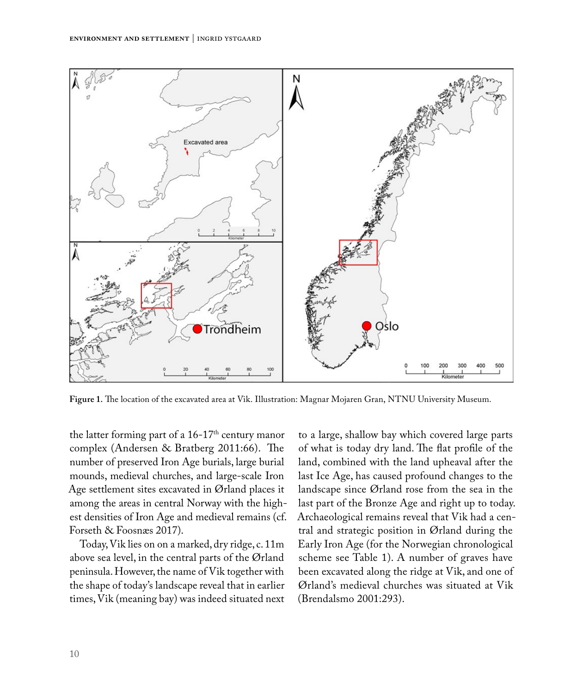

**Figure 1.** The location of the excavated area at Vik. Illustration: Magnar Mojaren Gran, NTNU University Museum.

the latter forming part of a  $16-17<sup>th</sup>$  century manor complex (Andersen & Bratberg 2011:66). The number of preserved Iron Age burials, large burial mounds, medieval churches, and large-scale Iron Age settlement sites excavated in Ørland places it among the areas in central Norway with the highest densities of Iron Age and medieval remains (cf. Forseth & Foosnæs 2017).

Today, Vik lies on on a marked, dry ridge, c. 11m above sea level, in the central parts of the Ørland peninsula. However, the name of Vik together with the shape of today's landscape reveal that in earlier times, Vik (meaning bay) was indeed situated next

to a large, shallow bay which covered large parts of what is today dry land. The flat profile of the land, combined with the land upheaval after the last Ice Age, has caused profound changes to the landscape since Ørland rose from the sea in the last part of the Bronze Age and right up to today. Archaeological remains reveal that Vik had a central and strategic position in Ørland during the Early Iron Age (for the Norwegian chronological scheme see Table 1). A number of graves have been excavated along the ridge at Vik, and one of Ørland's medieval churches was situated at Vik (Brendalsmo 2001:293).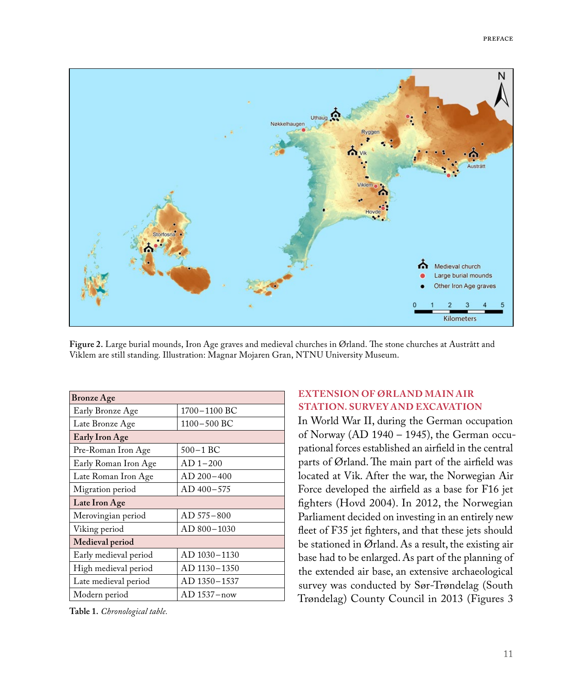

**Figure 2.** Large burial mounds, Iron Age graves and medieval churches in Ørland. The stone churches at Austrått and Viklem are still standing. Illustration: Magnar Mojaren Gran, NTNU University Museum.

| <b>Bronze</b> Age     |              |
|-----------------------|--------------|
| Early Bronze Age      | 1700-1100 BC |
| Late Bronze Age       | 1100-500 BC  |
| Early Iron Age        |              |
| Pre-Roman Iron Age    | 500-1 BC     |
| Early Roman Iron Age  | AD 1–200     |
| Late Roman Iron Age   | AD 200-400   |
| Migration period      | AD 400-575   |
| Late Iron Age         |              |
| Merovingian period    | AD 575-800   |
| Viking period         | AD 800-1030  |
| Medieval period       |              |
| Early medieval period | AD 1030–1130 |
| High medieval period  | AD 1130–1350 |
| Late medieval period  | AD 1350-1537 |
| Modern period         | AD 1537–now  |

**Table 1.** *Chronological table.*

## **EXTENSION OF ØRLAND MAIN AIR STATION. SURVEY AND EXCAVATION**

In World War II, during the German occupation of Norway (AD 1940 – 1945), the German occupational forces established an airfield in the central parts of Ørland. The main part of the airfield was located at Vik. After the war, the Norwegian Air Force developed the airfield as a base for F16 jet fighters (Hovd 2004). In 2012, the Norwegian Parliament decided on investing in an entirely new fleet of F35 jet fighters, and that these jets should be stationed in Ørland. As a result, the existing air base had to be enlarged. As part of the planning of the extended air base, an extensive archaeological survey was conducted by Sør-Trøndelag (South Trøndelag) County Council in 2013 (Figures 3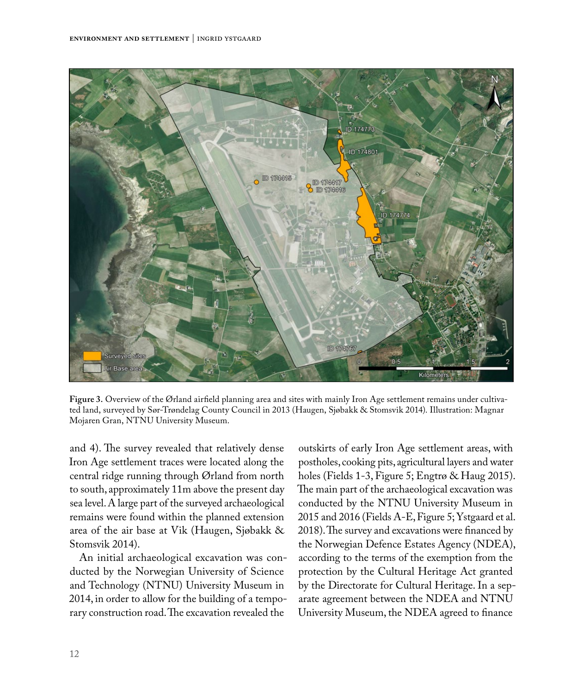

**Figure 3.** Overview of the Ørland airfield planning area and sites with mainly Iron Age settlement remains under cultivated land, surveyed by Sør-Trøndelag County Council in 2013 (Haugen, Sjøbakk & Stomsvik 2014). Illustration: Magnar Mojaren Gran, NTNU University Museum.

and 4). The survey revealed that relatively dense Iron Age settlement traces were located along the central ridge running through Ørland from north to south, approximately 11m above the present day sea level. A large part of the surveyed archaeological remains were found within the planned extension area of the air base at Vik (Haugen, Sjøbakk & Stomsvik 2014).

An initial archaeological excavation was conducted by the Norwegian University of Science and Technology (NTNU) University Museum in 2014, in order to allow for the building of a temporary construction road. The excavation revealed the

outskirts of early Iron Age settlement areas, with postholes, cooking pits, agricultural layers and water holes (Fields 1-3, Figure 5; Engtrø & Haug 2015). The main part of the archaeological excavation was conducted by the NTNU University Museum in 2015 and 2016 (Fields A-E, Figure 5; Ystgaard et al. 2018). The survey and excavations were financed by the Norwegian Defence Estates Agency (NDEA), according to the terms of the exemption from the protection by the Cultural Heritage Act granted by the Directorate for Cultural Heritage. In a separate agreement between the NDEA and NTNU University Museum, the NDEA agreed to finance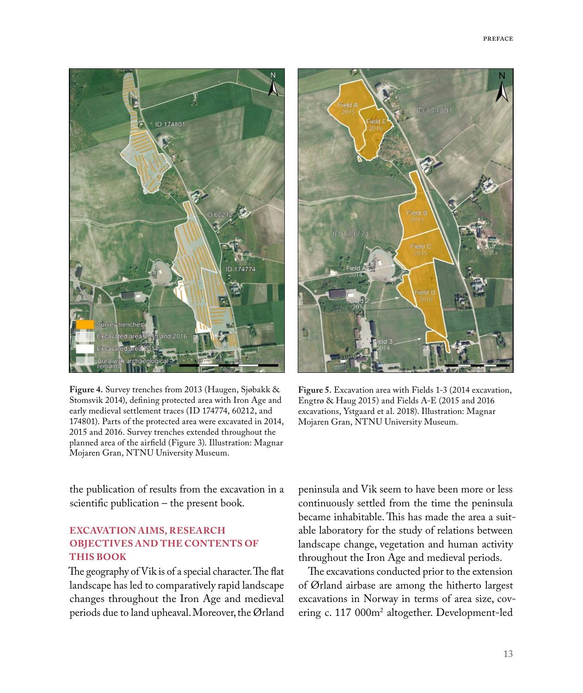

**Figure 4.** Survey trenches from 2013 (Haugen, Sjøbakk & Stomsvik 2014), defining protected area with Iron Age and early medieval settlement traces (ID 174774, 60212, and 174801). Parts of the protected area were excavated in 2014, 2015 and 2016. Survey trenches extended throughout the planned area of the airfield (Figure 3). Illustration: Magnar Mojaren Gran, NTNU University Museum.

Field C

**Figure 5.** Excavation area with Fields 1-3 (2014 excavation, Engtrø & Haug 2015) and Fields A-E (2015 and 2016 excavations, Ystgaard et al. 2018). Illustration: Magnar Mojaren Gran, NTNU University Museum.

the publication of results from the excavation in a scientific publication – the present book.

## **EXCAVATION AIMS, RESEARCH OBJECTIVES AND THE CONTENTS OF THIS BOOK**

The geography of Vik is of a special character. The flat landscape has led to comparatively rapid landscape changes throughout the Iron Age and medieval periods due to land upheaval. Moreover, the Ørland

peninsula and Vik seem to have been more or less continuously settled from the time the peninsula became inhabitable. This has made the area a suitable laboratory for the study of relations between landscape change, vegetation and human activity throughout the Iron Age and medieval periods.

The excavations conducted prior to the extension of Ørland airbase are among the hitherto largest excavations in Norway in terms of area size, covering c. 117 000m2 altogether. Development-led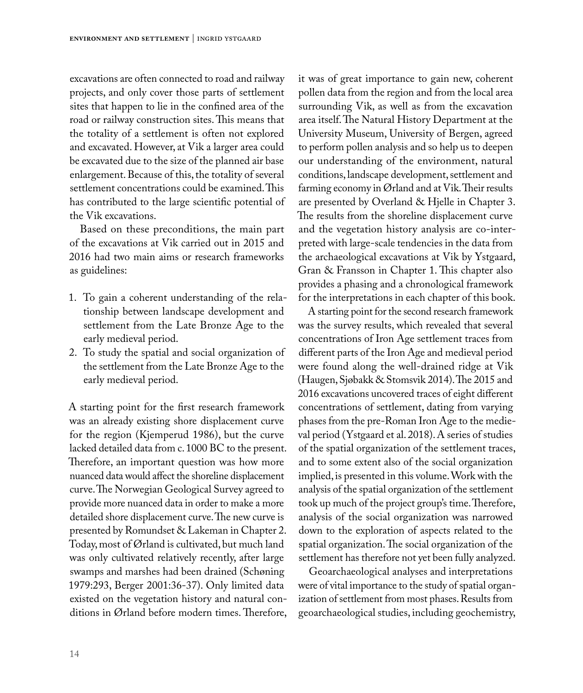excavations are often connected to road and railway projects, and only cover those parts of settlement sites that happen to lie in the confined area of the road or railway construction sites. This means that the totality of a settlement is often not explored and excavated. However, at Vik a larger area could be excavated due to the size of the planned air base enlargement. Because of this, the totality of several settlement concentrations could be examined. This has contributed to the large scientific potential of the Vik excavations.

Based on these preconditions, the main part of the excavations at Vik carried out in 2015 and 2016 had two main aims or research frameworks as guidelines:

- 1. To gain a coherent understanding of the relationship between landscape development and settlement from the Late Bronze Age to the early medieval period.
- 2. To study the spatial and social organization of the settlement from the Late Bronze Age to the early medieval period.

A starting point for the first research framework was an already existing shore displacement curve for the region (Kjemperud 1986), but the curve lacked detailed data from c. 1000 BC to the present. Therefore, an important question was how more nuanced data would affect the shoreline displacement curve. The Norwegian Geological Survey agreed to provide more nuanced data in order to make a more detailed shore displacement curve. The new curve is presented by Romundset & Lakeman in Chapter 2. Today, most of Ørland is cultivated, but much land was only cultivated relatively recently, after large swamps and marshes had been drained (Schøning 1979:293, Berger 2001:36-37). Only limited data existed on the vegetation history and natural conditions in Ørland before modern times. Therefore,

it was of great importance to gain new, coherent pollen data from the region and from the local area surrounding Vik, as well as from the excavation area itself. The Natural History Department at the University Museum, University of Bergen, agreed to perform pollen analysis and so help us to deepen our understanding of the environment, natural conditions, landscape development, settlement and farming economy in Ørland and at Vik. Their results are presented by Overland & Hjelle in Chapter 3. The results from the shoreline displacement curve and the vegetation history analysis are co-interpreted with large-scale tendencies in the data from the archaeological excavations at Vik by Ystgaard, Gran & Fransson in Chapter 1. This chapter also provides a phasing and a chronological framework for the interpretations in each chapter of this book.

A starting point for the second research framework was the survey results, which revealed that several concentrations of Iron Age settlement traces from different parts of the Iron Age and medieval period were found along the well-drained ridge at Vik (Haugen, Sjøbakk & Stomsvik 2014). The 2015 and 2016 excavations uncovered traces of eight different concentrations of settlement, dating from varying phases from the pre-Roman Iron Age to the medieval period (Ystgaard et al. 2018). A series of studies of the spatial organization of the settlement traces, and to some extent also of the social organization implied, is presented in this volume. Work with the analysis of the spatial organization of the settlement took up much of the project group's time. Therefore, analysis of the social organization was narrowed down to the exploration of aspects related to the spatial organization. The social organization of the settlement has therefore not yet been fully analyzed.

Geoarchaeological analyses and interpretations were of vital importance to the study of spatial organization of settlement from most phases. Results from geoarchaeological studies, including geochemistry,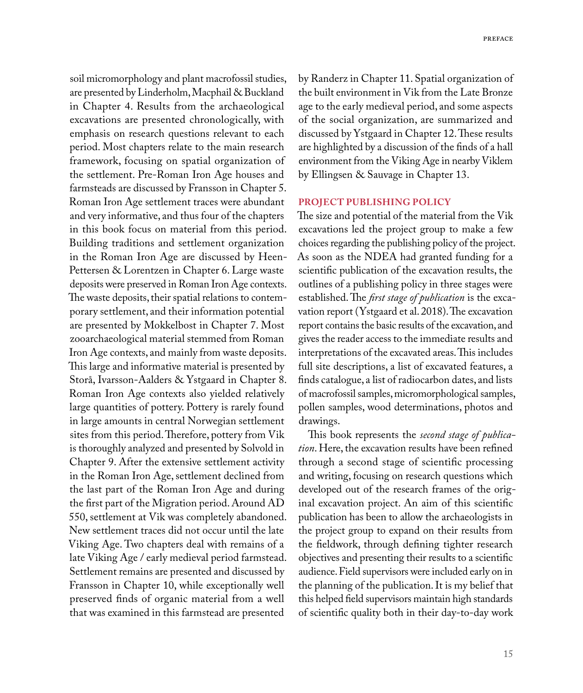soil micromorphology and plant macrofossil studies, are presented by Linderholm, Macphail & Buckland in Chapter 4. Results from the archaeological excavations are presented chronologically, with emphasis on research questions relevant to each period. Most chapters relate to the main research framework, focusing on spatial organization of the settlement. Pre-Roman Iron Age houses and farmsteads are discussed by Fransson in Chapter 5. Roman Iron Age settlement traces were abundant and very informative, and thus four of the chapters in this book focus on material from this period. Building traditions and settlement organization in the Roman Iron Age are discussed by Heen-Pettersen & Lorentzen in Chapter 6. Large waste deposits were preserved in Roman Iron Age contexts. The waste deposits, their spatial relations to contemporary settlement, and their information potential are presented by Mokkelbost in Chapter 7. Most zooarchaeological material stemmed from Roman Iron Age contexts, and mainly from waste deposits. This large and informative material is presented by Storå, Ivarsson-Aalders & Ystgaard in Chapter 8. Roman Iron Age contexts also yielded relatively large quantities of pottery. Pottery is rarely found in large amounts in central Norwegian settlement sites from this period. Therefore, pottery from Vik is thoroughly analyzed and presented by Solvold in Chapter 9. After the extensive settlement activity in the Roman Iron Age, settlement declined from the last part of the Roman Iron Age and during the first part of the Migration period. Around AD 550, settlement at Vik was completely abandoned. New settlement traces did not occur until the late Viking Age. Two chapters deal with remains of a late Viking Age / early medieval period farmstead. Settlement remains are presented and discussed by Fransson in Chapter 10, while exceptionally well preserved finds of organic material from a well that was examined in this farmstead are presented

by Randerz in Chapter 11. Spatial organization of the built environment in Vik from the Late Bronze age to the early medieval period, and some aspects of the social organization, are summarized and discussed by Ystgaard in Chapter 12. These results are highlighted by a discussion of the finds of a hall environment from the Viking Age in nearby Viklem by Ellingsen & Sauvage in Chapter 13.

#### **PROJECT PUBLISHING POLICY**

The size and potential of the material from the Vik excavations led the project group to make a few choices regarding the publishing policy of the project. As soon as the NDEA had granted funding for a scientific publication of the excavation results, the outlines of a publishing policy in three stages were established. The *first stage of publication* is the excavation report (Ystgaard et al. 2018). The excavation report contains the basic results of the excavation, and gives the reader access to the immediate results and interpretations of the excavated areas. This includes full site descriptions, a list of excavated features, a finds catalogue, a list of radiocarbon dates, and lists of macrofossil samples, micromorphological samples, pollen samples, wood determinations, photos and drawings.

This book represents the *second stage of publication*. Here, the excavation results have been refined through a second stage of scientific processing and writing, focusing on research questions which developed out of the research frames of the original excavation project. An aim of this scientific publication has been to allow the archaeologists in the project group to expand on their results from the fieldwork, through defining tighter research objectives and presenting their results to a scientific audience. Field supervisors were included early on in the planning of the publication. It is my belief that this helped field supervisors maintain high standards of scientific quality both in their day-to-day work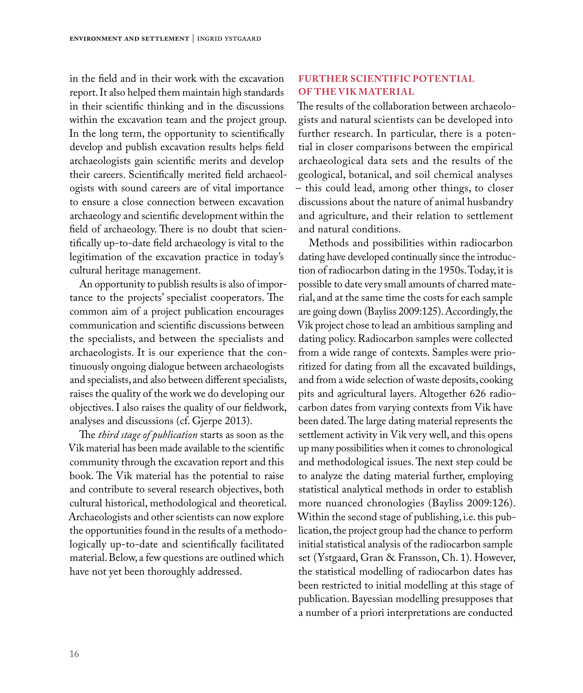in the field and in their work with the excavation report. It also helped them maintain high standards in their scientific thinking and in the discussions within the excavation team and the project group. In the long term, the opportunity to scientifically develop and publish excavation results helps field archaeologists gain scientific merits and develop their careers. Scientifically merited field archaeologists with sound careers are of vital importance to ensure a close connection between excavation archaeology and scientific development within the field of archaeology. There is no doubt that scientifically up-to-date field archaeology is vital to the legitimation of the excavation practice in today's cultural heritage management.

An opportunity to publish results is also of importance to the projects' specialist cooperators. The common aim of a project publication encourages communication and scientific discussions between the specialists, and between the specialists and archaeologists. It is our experience that the continuously ongoing dialogue between archaeologists and specialists, and also between different specialists, raises the quality of the work we do developing our objectives. I also raises the quality of our fieldwork, analyses and discussions (cf. Gjerpe 2013).

The *third stage of publication* starts as soon as the Vik material has been made available to the scientific community through the excavation report and this book. The Vik material has the potential to raise and contribute to several research objectives, both cultural historical, methodological and theoretical. Archaeologists and other scientists can now explore the opportunities found in the results of a methodologically up-to-date and scientifically facilitated material. Below, a few questions are outlined which have not yet been thoroughly addressed.

## **FURTHER SCIENTIFIC POTENTIAL OF THE VIK MATERIAL**

The results of the collaboration between archaeologists and natural scientists can be developed into further research. In particular, there is a potential in closer comparisons between the empirical archaeological data sets and the results of the geological, botanical, and soil chemical analyses – this could lead, among other things, to closer discussions about the nature of animal husbandry and agriculture, and their relation to settlement and natural conditions.

Methods and possibilities within radiocarbon dating have developed continually since the introduction of radiocarbon dating in the 1950s. Today, it is possible to date very small amounts of charred material, and at the same time the costs for each sample are going down (Bayliss 2009:125). Accordingly, the Vik project chose to lead an ambitious sampling and dating policy. Radiocarbon samples were collected from a wide range of contexts. Samples were prioritized for dating from all the excavated buildings, and from a wide selection of waste deposits, cooking pits and agricultural layers. Altogether 626 radiocarbon dates from varying contexts from Vik have been dated. The large dating material represents the settlement activity in Vik very well, and this opens up many possibilities when it comes to chronological and methodological issues. The next step could be to analyze the dating material further, employing statistical analytical methods in order to establish more nuanced chronologies (Bayliss 2009:126). Within the second stage of publishing, i.e. this publication, the project group had the chance to perform initial statistical analysis of the radiocarbon sample set (Ystgaard, Gran & Fransson, Ch. 1). However, the statistical modelling of radiocarbon dates has been restricted to initial modelling at this stage of publication. Bayessian modelling presupposes that a number of a priori interpretations are conducted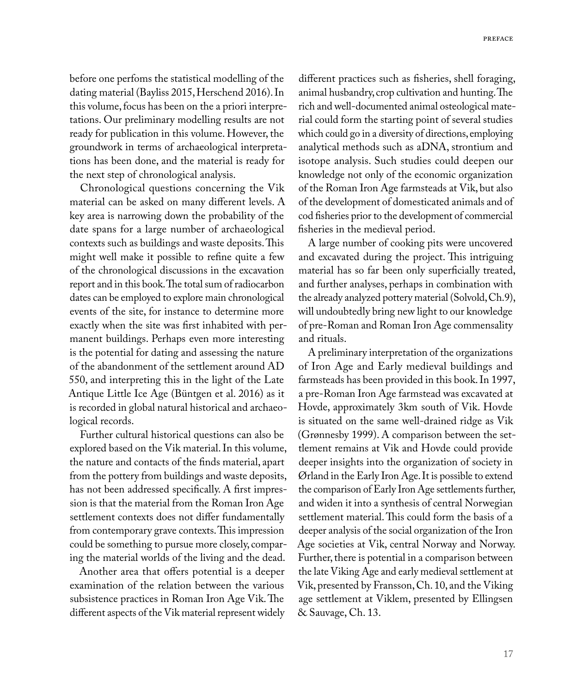before one perfoms the statistical modelling of the dating material (Bayliss 2015, Herschend 2016). In this volume, focus has been on the a priori interpretations. Our preliminary modelling results are not ready for publication in this volume. However, the groundwork in terms of archaeological interpretations has been done, and the material is ready for the next step of chronological analysis.

Chronological questions concerning the Vik material can be asked on many different levels. A key area is narrowing down the probability of the date spans for a large number of archaeological contexts such as buildings and waste deposits. This might well make it possible to refine quite a few of the chronological discussions in the excavation report and in this book. The total sum of radiocarbon dates can be employed to explore main chronological events of the site, for instance to determine more exactly when the site was first inhabited with permanent buildings. Perhaps even more interesting is the potential for dating and assessing the nature of the abandonment of the settlement around AD 550, and interpreting this in the light of the Late Antique Little Ice Age (Büntgen et al. 2016) as it is recorded in global natural historical and archaeological records.

Further cultural historical questions can also be explored based on the Vik material. In this volume, the nature and contacts of the finds material, apart from the pottery from buildings and waste deposits, has not been addressed specifically. A first impression is that the material from the Roman Iron Age settlement contexts does not differ fundamentally from contemporary grave contexts. This impression could be something to pursue more closely, comparing the material worlds of the living and the dead.

Another area that offers potential is a deeper examination of the relation between the various subsistence practices in Roman Iron Age Vik. The different aspects of the Vik material represent widely

different practices such as fisheries, shell foraging, animal husbandry, crop cultivation and hunting. The rich and well-documented animal osteological material could form the starting point of several studies which could go in a diversity of directions, employing analytical methods such as aDNA, strontium and isotope analysis. Such studies could deepen our knowledge not only of the economic organization of the Roman Iron Age farmsteads at Vik, but also of the development of domesticated animals and of cod fisheries prior to the development of commercial fisheries in the medieval period.

A large number of cooking pits were uncovered and excavated during the project. This intriguing material has so far been only superficially treated, and further analyses, perhaps in combination with the already analyzed pottery material (Solvold, Ch.9), will undoubtedly bring new light to our knowledge of pre-Roman and Roman Iron Age commensality and rituals.

A preliminary interpretation of the organizations of Iron Age and Early medieval buildings and farmsteads has been provided in this book. In 1997, a pre-Roman Iron Age farmstead was excavated at Hovde, approximately 3km south of Vik. Hovde is situated on the same well-drained ridge as Vik (Grønnesby 1999). A comparison between the settlement remains at Vik and Hovde could provide deeper insights into the organization of society in Ørland in the Early Iron Age. It is possible to extend the comparison of Early Iron Age settlements further, and widen it into a synthesis of central Norwegian settlement material. This could form the basis of a deeper analysis of the social organization of the Iron Age societies at Vik, central Norway and Norway. Further, there is potential in a comparison between the late Viking Age and early medieval settlement at Vik, presented by Fransson, Ch. 10, and the Viking age settlement at Viklem, presented by Ellingsen & Sauvage, Ch. 13.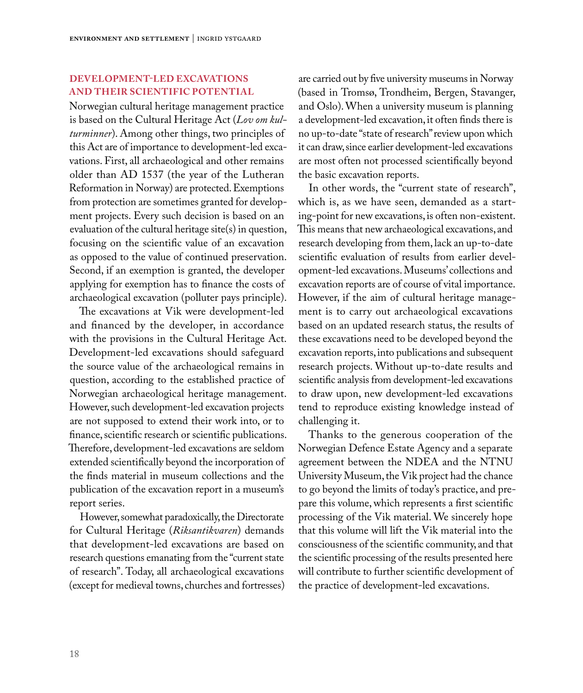### **DEVELOPMENT-LED EXCAVATIONS AND THEIR SCIENTIFIC POTENTIAL**

Norwegian cultural heritage management practice is based on the Cultural Heritage Act (*Lov om kulturminner*). Among other things, two principles of this Act are of importance to development-led excavations. First, all archaeological and other remains older than AD 1537 (the year of the Lutheran Reformation in Norway) are protected. Exemptions from protection are sometimes granted for development projects. Every such decision is based on an evaluation of the cultural heritage site(s) in question, focusing on the scientific value of an excavation as opposed to the value of continued preservation. Second, if an exemption is granted, the developer applying for exemption has to finance the costs of archaeological excavation (polluter pays principle).

The excavations at Vik were development-led and financed by the developer, in accordance with the provisions in the Cultural Heritage Act. Development-led excavations should safeguard the source value of the archaeological remains in question, according to the established practice of Norwegian archaeological heritage management. However, such development-led excavation projects are not supposed to extend their work into, or to finance, scientific research or scientific publications. Therefore, development-led excavations are seldom extended scientifically beyond the incorporation of the finds material in museum collections and the publication of the excavation report in a museum's report series.

However, somewhat paradoxically, the Directorate for Cultural Heritage (*Riksantikvaren*) demands that development-led excavations are based on research questions emanating from the "current state of research". Today, all archaeological excavations (except for medieval towns, churches and fortresses)

are carried out by five university museums in Norway (based in Tromsø, Trondheim, Bergen, Stavanger, and Oslo). When a university museum is planning a development-led excavation, it often finds there is no up-to-date "state of research" review upon which it can draw, since earlier development-led excavations are most often not processed scientifically beyond the basic excavation reports.

In other words, the "current state of research", which is, as we have seen, demanded as a starting-point for new excavations, is often non-existent. This means that new archaeological excavations, and research developing from them, lack an up-to-date scientific evaluation of results from earlier development-led excavations. Museums' collections and excavation reports are of course of vital importance. However, if the aim of cultural heritage management is to carry out archaeological excavations based on an updated research status, the results of these excavations need to be developed beyond the excavation reports, into publications and subsequent research projects. Without up-to-date results and scientific analysis from development-led excavations to draw upon, new development-led excavations tend to reproduce existing knowledge instead of challenging it.

Thanks to the generous cooperation of the Norwegian Defence Estate Agency and a separate agreement between the NDEA and the NTNU University Museum, the Vik project had the chance to go beyond the limits of today's practice, and prepare this volume, which represents a first scientific processing of the Vik material. We sincerely hope that this volume will lift the Vik material into the consciousness of the scientific community, and that the scientific processing of the results presented here will contribute to further scientific development of the practice of development-led excavations.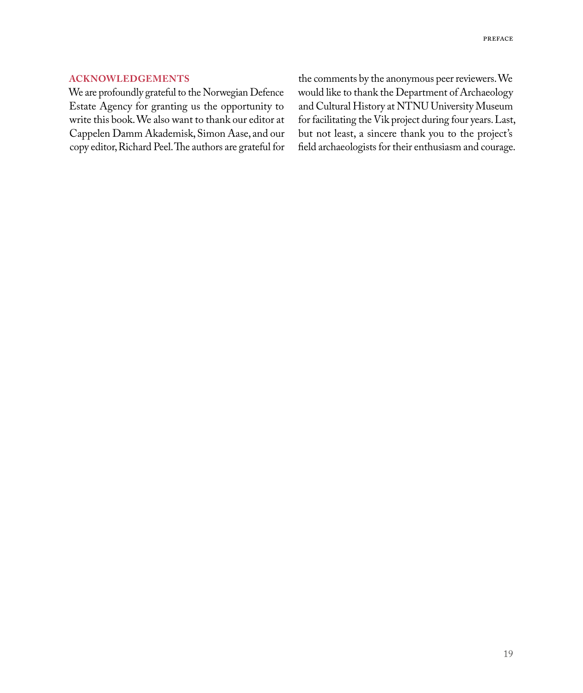#### **ACKNOWLEDGEMENTS**

We are profoundly grateful to the Norwegian Defence Estate Agency for granting us the opportunity to write this book. We also want to thank our editor at Cappelen Damm Akademisk, Simon Aase, and our copy editor, Richard Peel. The authors are grateful for

the comments by the anonymous peer reviewers. We would like to thank the Department of Archaeology and Cultural History at NTNU University Museum for facilitating the Vik project during four years. Last, but not least, a sincere thank you to the project's field archaeologists for their enthusiasm and courage.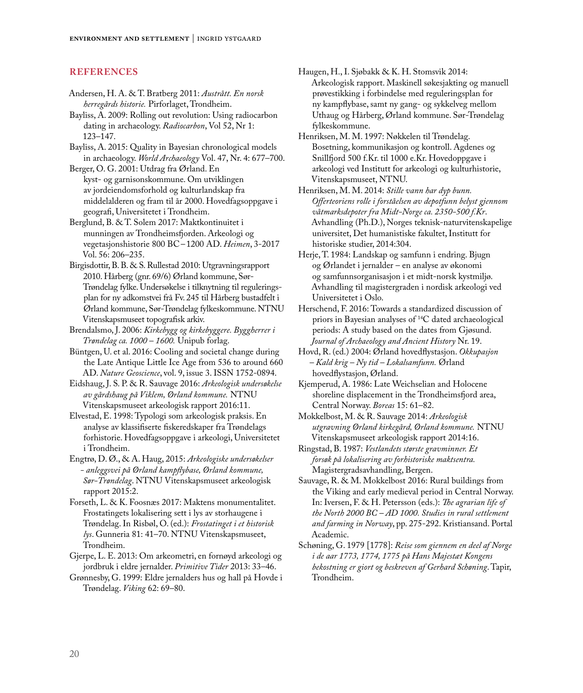#### **REFERENCES**

- Andersen, H. A. & T. Bratberg 2011: *Austrått. En norsk herregårds historie.* Pirforlaget, Trondheim.
- Bayliss, A. 2009: Rolling out revolution: Using radiocarbon dating in archaeology. *Radiocarbon*, Vol 52, Nr 1: 123–147.
- Bayliss, A. 2015: Quality in Bayesian chronological models in archaeology. *World Archaeology* Vol. 47, Nr. 4: 677–700.

Berger, O. G. 2001: Utdrag fra Ørland. En kyst- og garnisonskommune. Om utviklingen av jordeiendomsforhold og kulturlandskap fra middelalderen og fram til år 2000. Hovedfagsoppgave i geografi, Universitetet i Trondheim.

Berglund, B. & T. Solem 2017: Maktkontinuitet i munningen av Trondheimsfjorden. Arkeologi og vegetasjonshistorie 800 BC–1200 AD. *Heimen*, 3-2017 Vol. 56: 206–235.

Birgisdottir, B. B. & S. Rullestad 2010: Utgravningsrapport 2010. Hårberg (gnr. 69/6) Ørland kommune, Sør-Trøndelag fylke. Undersøkelse i tilknytning til reguleringsplan for ny adkomstvei frå Fv. 245 til Hårberg bustadfelt i Ørland kommune, Sør-Trøndelag fylkeskommune. NTNU Vitenskapsmuseet topografisk arkiv.

Brendalsmo, J. 2006: *Kirkebygg og kirkebyggere. Byggherrer i Trøndelag ca. 1000 – 1600.* Unipub forlag.

Büntgen, U. et al. 2016: Cooling and societal change during the Late Antique Little Ice Age from 536 to around 660 AD. *Nature Geoscience*, vol. 9, issue 3. ISSN 1752-0894.

Eidshaug, J. S. P. & R. Sauvage 2016: *Arkeologisk undersøkelse av gårdshaug på Viklem, Ørland kommune.* NTNU Vitenskapsmuseet arkeologisk rapport 2016:11.

Elvestad, E. 1998: Typologi som arkeologisk praksis. En analyse av klassifiserte fiskeredskaper fra Trøndelags forhistorie. Hovedfagsoppgave i arkeologi, Universitetet i Trondheim.

Engtrø, D. Ø., & A. Haug, 2015: *Arkeologiske undersøkelser - anleggsvei på Ørland kampflybase, Ørland kommune, Sør-Trøndelag*. NTNU Vitenskapsmuseet arkeologisk rapport 2015:2.

Forseth, L. & K. Foosnæs 2017: Maktens monumentalitet. Frostatingets lokalisering sett i lys av storhaugene i Trøndelag. In Risbøl, O. (ed.): *Frostatinget i et historisk lys*. Gunneria 81: 41–70. NTNU Vitenskapsmuseet, Trondheim.

Gjerpe, L. E. 2013: Om arkeometri, en fornøyd arkeologi og jordbruk i eldre jernalder. *Primitive Tider* 2013: 33–46.

Grønnesby, G. 1999: Eldre jernalders hus og hall på Hovde i Trøndelag. *Viking* 62: 69–80.

Haugen, H., I. Sjøbakk & K. H. Stomsvik 2014: Arkeologisk rapport. Maskinell søkesjakting og manuell prøvestikking i forbindelse med reguleringsplan for ny kampflybase, samt ny gang- og sykkelveg mellom Uthaug og Hårberg, Ørland kommune. Sør-Trøndelag fylkeskommune.

Henriksen, M. M. 1997: Nøkkelen til Trøndelag. Bosetning, kommunikasjon og kontroll. Agdenes og Snillfjord 500 f.Kr. til 1000 e.Kr. Hovedoppgave i arkeologi ved Institutt for arkeologi og kulturhistorie, Vitenskapsmuseet, NTNU.

Henriksen, M. M. 2014: *Stille vann har dyp bunn. Offerteoriens rolle i forståelsen av depotfunn belyst gjennom våtmarksdepoter fra Midt-Norge ca. 2350-500 f.Kr*. Avhandling (Ph.D.), Norges teknisk-naturvitenskapelige universitet, Det humanistiske fakultet, Institutt for historiske studier, 2014:304.

Herje, T. 1984: Landskap og samfunn i endring. Bjugn og Ørlandet i jernalder – en analyse av økonomi og samfunnsorganisasjon i et midt-norsk kystmiljø. Avhandling til magistergraden i nordisk arkeologi ved Universitetet i Oslo.

Herschend, F. 2016: Towards a standardized discussion of priors in Bayesian analyses of 14C dated archaeological periods: A study based on the dates from Gjøsund. *Journal of Archaeology and Ancient History* Nr. 19.

Hovd, R. (ed.) 2004: Ørland hovedflystasjon. *Okkupasjon – Kald krig – Ny tid – Lokalsamfunn.* Ørland hovedflystasjon, Ørland.

Kjemperud, A. 1986: Late Weichselian and Holocene shoreline displacement in the Trondheimsfjord area, Central Norway. *Boreas* 15: 61–82.

Mokkelbost, M. & R. Sauvage 2014: *Arkeologisk utgravning Ørland kirkegård, Ørland kommune.* NTNU Vitenskapsmuseet arkeologisk rapport 2014:16.

Ringstad, B. 1987: *Vestlandets største gravminner. Et forsøk på lokalisering av forhistoriske maktsentra.* Magistergradsavhandling, Bergen.

Sauvage, R. & M. Mokkelbost 2016: Rural buildings from the Viking and early medieval period in Central Norway. In: Iversen, F. & H. Petersson (eds.): *The agrarian life of the North 2000 BC – AD 1000. Studies in rural settlement and farming in Norway*, pp. 275-292. Kristiansand. Portal Academic.

Schøning, G. 1979 [1778]: *Reise som giennem en deel af Norge i de aar 1773, 1774, 1775 på Hans Majestæt Kongens bekostning er giort og beskreven af Gerhard Schøning*. Tapir, Trondheim.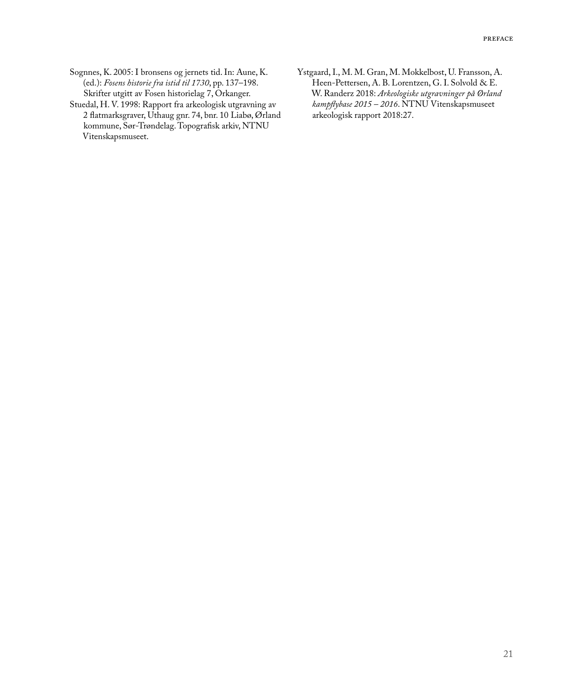- Sognnes, K. 2005: I bronsens og jernets tid. In: Aune, K. (ed.): *Fosens historie fra istid til 1730*, pp. 137–198. Skrifter utgitt av Fosen historielag 7, Orkanger.
- Stuedal, H. V. 1998: Rapport fra arkeologisk utgravning av 2 flatmarksgraver, Uthaug gnr. 74, bnr. 10 Liabø, Ørland kommune, Sør-Trøndelag. Topografisk arkiv, NTNU Vitenskapsmuseet.
- Ystgaard, I., M. M. Gran, M. Mokkelbost, U. Fransson, A. Heen-Pettersen, A. B. Lorentzen, G. I. Solvold & E. W. Randerz 2018: *Arkeologiske utgravninger på Ørland kampflybase 2015 – 2016*. NTNU Vitenskapsmuseet arkeologisk rapport 2018:27.